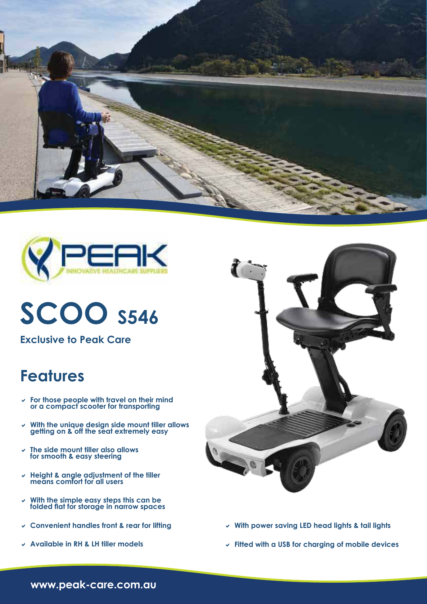



## **SCOO S546**

**Exclusive to Peak Care**

### **Features**

- D **For those people with travel on their mind or a compact scooter for transporting**
- v With the unique design side mount filler allows **getting on & off the seat extremely easy**
- D **The side mount tiller also allows for smooth & easy steering**
- D **Height & angle adjustment of the tiller means comfort for all users**
- D **With the simple easy steps this can be folded flat for storage in narrow spaces**
- D **Convenient handles front & rear for lifting**
- D **Available in RH & LH tiller models**



- v With power saving LED head lights & tail lights
- D **Fitted with a USB for charging of mobile devices**

**www.peak-care.com.au**